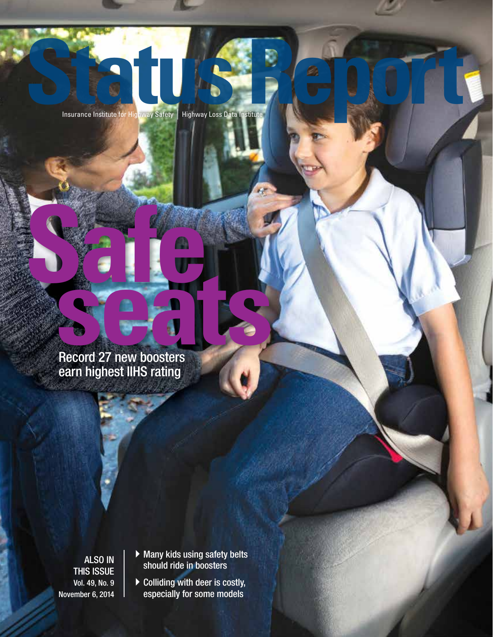Insurance Institute for Highway Safety | **Status Report** Highway Loss Data Institute

# **SafeCord 27 new boosters** Record 27 new boosters earn highest IIHS rating

ALSO IN THIS ISSUE Vol. 49, No. 9 November 6, 2014

- $\blacktriangleright$  Many kids using safety belts should ride in boosters
- $\blacktriangleright$  Colliding with deer is costly, especially for some models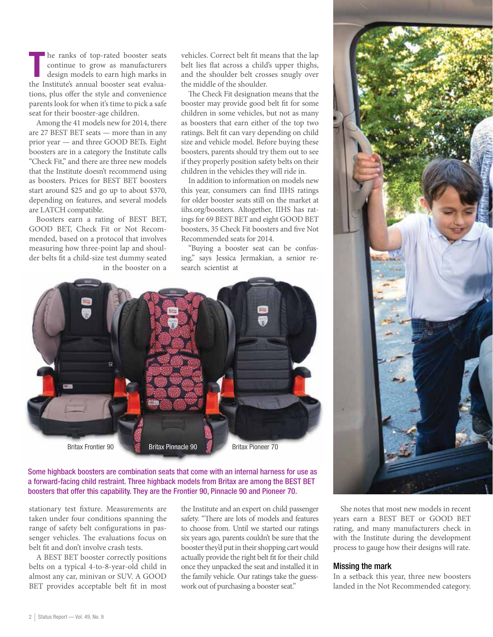The ranks of top-rated booster seats<br>
continue to grow as manufacturers<br>
design models to earn high marks in<br>
the Institute's annual booster seat evaluahe ranks of top-rated booster seats continue to grow as manufacturers design models to earn high marks in tions, plus offer the style and convenience parents look for when it's time to pick a safe seat for their booster-age children.

Among the 41 models new for 2014, there are 27 BEST BET seats — more than in any prior year — and three GOOD BETs. Eight boosters are in a category the Institute calls "Check Fit," and there are three new models that the Institute doesn't recommend using as boosters. Prices for BEST BET boosters start around \$25 and go up to about \$370, depending on features, and several models are LATCH compatible.

Boosters earn a rating of BEST BET, GOOD BET, Check Fit or Not Recommended, based on a protocol that involves measuring how three-point lap and shoulder belts fit a child-size test dummy seated in the booster on a

vehicles. Correct belt fit means that the lap belt lies flat across a child's upper thighs, and the shoulder belt crosses snugly over the middle of the shoulder.

The Check Fit designation means that the booster may provide good belt fit for some children in some vehicles, but not as many as boosters that earn either of the top two ratings. Belt fit can vary depending on child size and vehicle model. Before buying these boosters, parents should try them out to see if they properly position safety belts on their children in the vehicles they will ride in.

In addition to information on models new this year, consumers can find IIHS ratings for older booster seats still on the market at iihs.org/boosters. Altogether, IIHS has ratings for 69 BEST BET and eight GOOD BET boosters, 35 Check Fit boosters and five Not Recommended seats for 2014.

"Buying a booster seat can be confusing," says Jessica Jermakian, a senior research scientist at



#### Some highback boosters are combination seats that come with an internal harness for use as a forward-facing child restraint. Three highback models from Britax are among the BEST BET boosters that offer this capability. They are the Frontier 90, Pinnacle 90 and Pioneer 70.

stationary test fixture. Measurements are taken under four conditions spanning the range of safety belt configurations in passenger vehicles. The evaluations focus on belt fit and don't involve crash tests.

A BEST BET booster correctly positions belts on a typical 4-to-8-year-old child in almost any car, minivan or SUV. A GOOD BET provides acceptable belt fit in most

the Institute and an expert on child passenger safety. "There are lots of models and features to choose from. Until we started our ratings six years ago, parents couldn't be sure that the booster they'd put in their shopping cart would actually provide the right belt fit for their child once they unpacked the seat and installed it in the family vehicle. Our ratings take the guesswork out of purchasing a booster seat."



She notes that most new models in recent years earn a BEST BET or GOOD BET rating, and many manufacturers check in with the Institute during the development process to gauge how their designs will rate.

#### Missing the mark

In a setback this year, three new boosters landed in the Not Recommended category.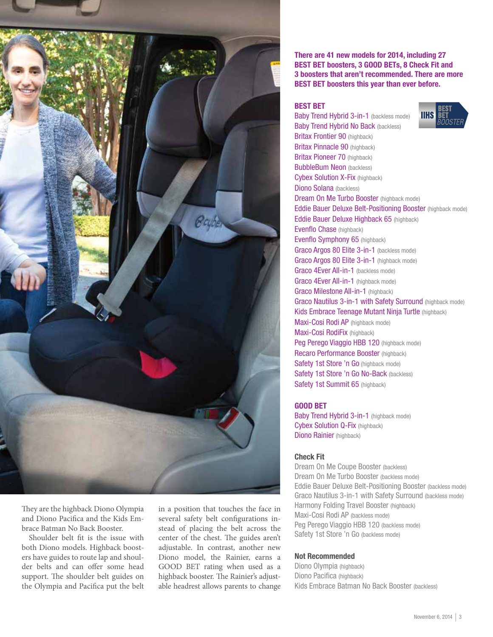

They are the highback Diono Olympia and Diono Pacifica and the Kids Embrace Batman No Back Booster.

Shoulder belt fit is the issue with both Diono models. Highback boosters have guides to route lap and shoulder belts and can offer some head support. The shoulder belt guides on the Olympia and Pacifica put the belt in a position that touches the face in several safety belt configurations instead of placing the belt across the center of the chest. The guides aren't adjustable. In contrast, another new Diono model, the Rainier, earns a GOOD BET rating when used as a highback booster. The Rainier's adjustable headrest allows parents to change

There are 41 new models for 2014, including 27 BEST BET boosters, 3 GOOD BETs, 8 Check Fit and 3 boosters that aren't recommended. There are more BEST BET boosters this year than ever before.

#### BEST BET

Baby Trend Hybrid 3-in-1 (backless mode) Baby Trend Hybrid No Back (backless) Britax Frontier 90 (highback) Britax Pinnacle 90 (highback) Britax Pioneer 70 (highback) **BubbleBum Neon** (backless) Cybex Solution X-Fix (highback) Diono Solana (backless) Dream On Me Turbo Booster (highback mode) Eddie Bauer Deluxe Belt-Positioning Booster (highback mode) Eddie Bauer Deluxe Highback 65 (highback) Evenflo Chase (highback) Evenflo Symphony 65 (highback) Graco Argos 80 Elite 3-in-1 (backless mode) Graco Argos 80 Elite 3-in-1 (highback mode) Graco 4Ever All-in-1 (backless mode) Graco 4Ever All-in-1 (highback mode) Graco Milestone All-in-1 (highback) Graco Nautilus 3-in-1 with Safety Surround (highback mode) Kids Embrace Teenage Mutant Ninja Turtle (highback) Maxi-Cosi Rodi AP (highback mode) Maxi-Cosi RodiFix (highback) Peg Perego Viaggio HBB 120 (highback mode) Recaro Performance Booster (highback) Safety 1st Store 'n Go (highback mode) Safety 1st Store 'n Go No-Back (backless) Safety 1st Summit 65 (highback)

#### GOOD BET

Baby Trend Hybrid 3-in-1 (highback mode) Cybex Solution Q-Fix (highback) Diono Rainier (highback)

#### Check Fit

Dream On Me Coupe Booster (backless) Dream On Me Turbo Booster (backless mode) Eddie Bauer Deluxe Belt-Positioning Booster (backless mode) Graco Nautilus 3-in-1 with Safety Surround (backless mode) Harmony Folding Travel Booster (highback) Maxi-Cosi Rodi AP (backless mode) Peg Perego Viaggio HBB 120 (backless mode) Safety 1st Store 'n Go (backless mode)

#### Not Recommended

Diono Olympia (highback) Diono Pacifica (highback) Kids Embrace Batman No Back Booster (backless)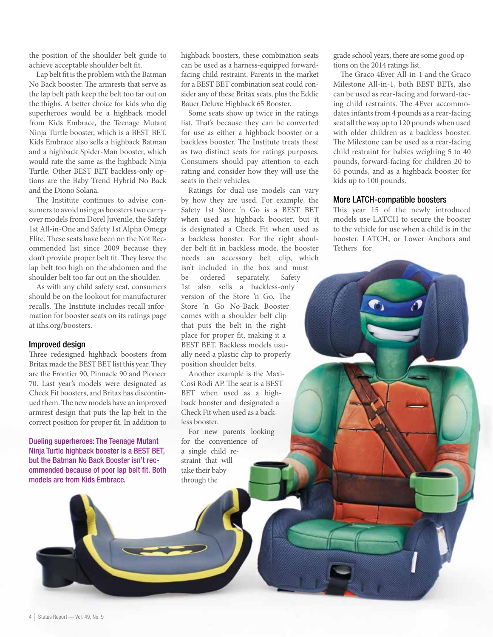the position of the shoulder belt guide to achieve acceptable shoulder belt fit.

Lap belt fit is the problem with the Batman No Back booster. The armrests that serve as the lap belt path keep the belt too far out on the thighs. A better choice for kids who dig superheroes would be a highback model from Kids Embrace, the Teenage Mutant Ninja Turtle booster, which is a BEST BET. Kids Embrace also sells a highback Batman and a highback Spider-Man booster, which would rate the same as the highback Ninja Turtle. Other BEST BET backless-only options are the Baby Trend Hybrid No Back and the Diono Solana.

The Institute continues to advise consumers to avoid using as boosters two carryover models from Dorel Juvenile, the Safety 1st All-in-One and Safety 1st Alpha Omega Elite. These seats have been on the Not Recommended list since 2009 because they don't provide proper belt fit. They leave the lap belt too high on the abdomen and the shoulder belt too far out on the shoulder.

As with any child safety seat, consumers should be on the lookout for manufacturer recalls. The Institute includes recall information for booster seats on its ratings page at iihs.org/boosters.

#### Improved design

Three redesigned highback boosters from Britax made the BEST BET list this year. They are the Frontier 90, Pinnacle 90 and Pioneer 70. Last year's models were designated as Check Fit boosters, and Britax has discontinued them. The new models have an improved armrest design that puts the lap belt in the correct position for proper fit. In addition to

Dueling superheroes: The Teenage Mutant Ninja Turtle highback booster is a BEST BET, but the Batman No Back Booster isn't recommended because of poor lap belt fit. Both models are from Kids Embrace.

highback boosters, these combination seats can be used as a harness-equipped forwardfacing child restraint. Parents in the market for a BEST BET combination seat could consider any of these Britax seats, plus the Eddie Bauer Deluxe Highback 65 Booster.

Some seats show up twice in the ratings list. That's because they can be converted for use as either a highback booster or a backless booster. The Institute treats these as two distinct seats for ratings purposes. Consumers should pay attention to each rating and consider how they will use the seats in their vehicles.

Ratings for dual-use models can vary by how they are used. For example, the Safety 1st Store 'n Go is a BEST BET when used as highback booster, but it is designated a Check Fit when used as a backless booster. For the right shoulder belt fit in backless mode, the booster needs an accessory belt clip, which isn't included in the box and must be ordered separately. Safety 1st also sells a backless-only version of the Store 'n Go. The Store 'n Go No-Back Booster comes with a shoulder belt clip that puts the belt in the right place for proper fit, making it a BEST BET. Backless models usually need a plastic clip to properly position shoulder belts.

Another example is the Maxi-Cosi Rodi AP. The seat is a BEST BET when used as a highback booster and designated a Check Fit when used as a backless booster.

For new parents looking for the convenience of a single child restraint that will take their baby through the

grade school years, there are some good options on the 2014 ratings list.

The Graco 4Ever All-in-1 and the Graco Milestone All-in-1, both BEST BETs, also can be used as rear-facing and forward-facing child restraints. The 4Ever accommodates infants from 4 pounds as a rear-facing seat all the way up to 120 pounds when used with older children as a backless booster. The Milestone can be used as a rear-facing child restraint for babies weighing 5 to 40 pounds, forward-facing for children 20 to 65 pounds, and as a highback booster for kids up to 100 pounds.

#### More LATCH-compatible boosters

This year 15 of the newly introduced models use LATCH to secure the booster to the vehicle for use when a child is in the booster. LATCH, or Lower Anchors and Tethers for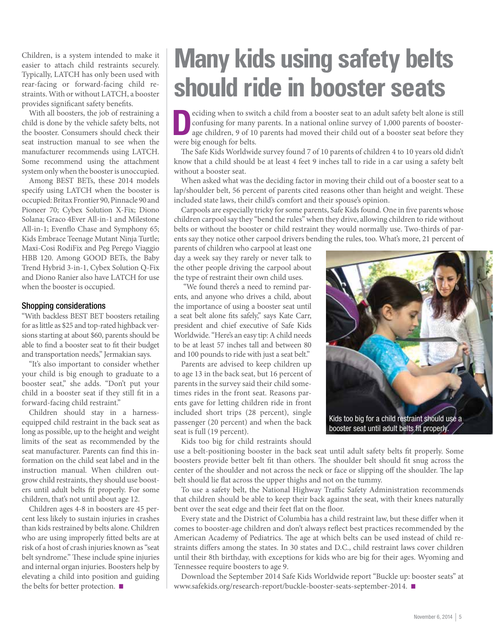Children, is a system intended to make it easier to attach child restraints securely. Typically, LATCH has only been used with rear-facing or forward-facing child restraints. With or without LATCH, a booster provides significant safety benefits.

With all boosters, the job of restraining a child is done by the vehicle safety belts, not the booster. Consumers should check their seat instruction manual to see when the manufacturer recommends using LATCH. Some recommend using the attachment system only when the booster is unoccupied.

Among BEST BETs, these 2014 models specify using LATCH when the booster is occupied: Britax Frontier 90, Pinnacle 90 and Pioneer 70; Cybex Solution X-Fix; Diono Solana; Graco 4Ever All-in-1 and Milestone All-in-1; Evenflo Chase and Symphony 65; Kids Embrace Teenage Mutant Ninja Turtle; Maxi-Cosi RodiFix and Peg Perego Viaggio HBB 120. Among GOOD BETs, the Baby Trend Hybrid 3-in-1, Cybex Solution Q-Fix and Diono Ranier also have LATCH for use when the booster is occupied.

#### Shopping considerations

"With backless BEST BET boosters retailing for as little as \$25 and top-rated highback versions starting at about \$60, parents should be able to find a booster seat to fit their budget and transportation needs," Jermakian says.

"It's also important to consider whether your child is big enough to graduate to a booster seat," she adds. "Don't put your child in a booster seat if they still fit in a forward-facing child restraint."

Children should stay in a harnessequipped child restraint in the back seat as long as possible, up to the height and weight limits of the seat as recommended by the seat manufacturer. Parents can find this information on the child seat label and in the instruction manual. When children outgrow child restraints, they should use boosters until adult belts fit properly. For some children, that's not until about age 12.

Children ages 4-8 in boosters are 45 percent less likely to sustain injuries in crashes than kids restrained by belts alone. Children who are using improperly fitted belts are at risk of a host of crash injuries known as "seat belt syndrome." These include spine injuries and internal organ injuries. Boosters help by elevating a child into position and guiding the belts for better protection.  $\blacksquare$ 

## **Many kids using safety belts should ride in booster seats**

ciding when to switch a child from a booster seat to an adult safety belt alone is still<br>confusing for many parents. In a national online survey of 1,000 parents of booster-<br>age children, 9 of 10 parents had moved their ch confusing for many parents. In a national online survey of 1,000 parents of boosterwere big enough for belts.

The Safe Kids Worldwide survey found 7 of 10 parents of children 4 to 10 years old didn't know that a child should be at least 4 feet 9 inches tall to ride in a car using a safety belt without a booster seat.

When asked what was the deciding factor in moving their child out of a booster seat to a lap/shoulder belt, 56 percent of parents cited reasons other than height and weight. These included state laws, their child's comfort and their spouse's opinion.

Carpools are especially tricky for some parents, Safe Kids found. One in five parents whose children carpool say they "bend the rules" when they drive, allowing children to ride without belts or without the booster or child restraint they would normally use. Two-thirds of parents say they notice other carpool drivers bending the rules, too. What's more, 21 percent of

parents of children who carpool at least one day a week say they rarely or never talk to the other people driving the carpool about the type of restraint their own child uses.

 "We found there's a need to remind parents, and anyone who drives a child, about the importance of using a booster seat until a seat belt alone fits safely," says Kate Carr, president and chief executive of Safe Kids Worldwide. "Here's an easy tip: A child needs to be at least 57 inches tall and between 80 and 100 pounds to ride with just a seat belt."

Parents are advised to keep children up to age 13 in the back seat, but 16 percent of parents in the survey said their child sometimes rides in the front seat. Reasons parents gave for letting children ride in front included short trips (28 percent), single passenger (20 percent) and when the back seat is full (19 percent).



use a belt-positioning booster in the back seat until adult safety belts fit properly. Some boosters provide better belt fit than others. The shoulder belt should fit snug across the center of the shoulder and not across the neck or face or slipping off the shoulder. The lap belt should lie flat across the upper thighs and not on the tummy.

To use a safety belt, the National Highway Traffic Safety Administration recommends that children should be able to keep their back against the seat, with their knees naturally bent over the seat edge and their feet flat on the floor.

Every state and the District of Columbia has a child restraint law, but these differ when it comes to booster-age children and don't always reflect best practices recommended by the American Academy of Pediatrics. The age at which belts can be used instead of child restraints differs among the states. In 30 states and D.C., child restraint laws cover children until their 8th birthday, with exceptions for kids who are big for their ages. Wyoming and Tennessee require boosters to age 9.

Download the September 2014 Safe Kids Worldwide report "Buckle up: booster seats" at www.safekids.org/research-report/buckle-booster-seats-september-2014. ■



booster seat until adult belts fit properly.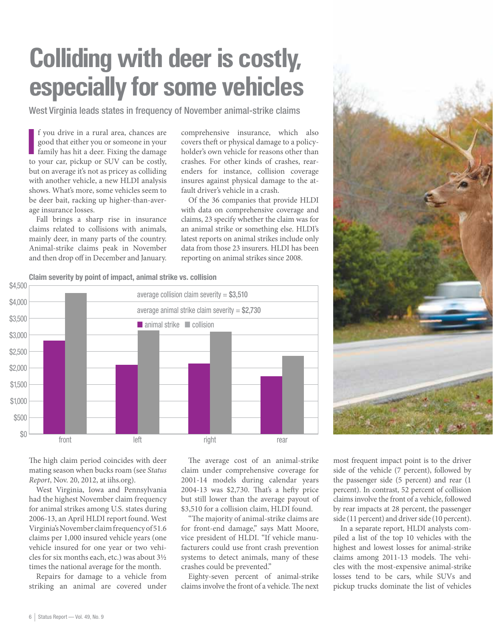## **Colliding with deer is costly, especially for some vehicles**

West Virginia leads states in frequency of November animal-strike claims

If you drive in a rural area, chances are good that either you or someone in your family has hit a deer. Fixing the damage to your car, pickup or SUV can be costly, f you drive in a rural area, chances are good that either you or someone in your family has hit a deer. Fixing the damage but on average it's not as pricey as colliding with another vehicle, a new HLDI analysis shows. What's more, some vehicles seem to be deer bait, racking up higher-than-average insurance losses.

Fall brings a sharp rise in insurance claims related to collisions with animals, mainly deer, in many parts of the country. Animal-strike claims peak in November and then drop off in December and January. comprehensive insurance, which also covers theft or physical damage to a policyholder's own vehicle for reasons other than crashes. For other kinds of crashes, rearenders for instance, collision coverage insures against physical damage to the atfault driver's vehicle in a crash.

Of the 36 companies that provide HLDI with data on comprehensive coverage and claims, 23 specify whether the claim was for an animal strike or something else. HLDI's latest reports on animal strikes include only data from those 23 insurers. HLDI has been reporting on animal strikes since 2008.



The high claim period coincides with deer mating season when bucks roam (see *Status Report*, Nov. 20, 2012, at iihs.org).

West Virginia, Iowa and Pennsylvania had the highest November claim frequency for animal strikes among U.S. states during 2006-13, an April HLDI report found. West Virginia's November claim frequency of 51.6 claims per 1,000 insured vehicle years (one vehicle insured for one year or two vehicles for six months each, etc.) was about 3½ times the national average for the month.

Repairs for damage to a vehicle from striking an animal are covered under

The average cost of an animal-strike claim under comprehensive coverage for 2001-14 models during calendar years 2004-13 was \$2,730. That's a hefty price but still lower than the average payout of \$3,510 for a collision claim, HLDI found.

"The majority of animal-strike claims are for front-end damage," says Matt Moore, vice president of HLDI. "If vehicle manufacturers could use front crash prevention systems to detect animals, many of these crashes could be prevented."

Eighty-seven percent of animal-strike claims involve the front of a vehicle. The next

most frequent impact point is to the driver side of the vehicle (7 percent), followed by the passenger side (5 percent) and rear (1 percent). In contrast, 52 percent of collision claims involve the front of a vehicle, followed by rear impacts at 28 percent, the passenger side (11 percent) and driver side (10 percent).

In a separate report, HLDI analysts compiled a list of the top 10 vehicles with the highest and lowest losses for animal-strike claims among 2011-13 models. The vehicles with the most-expensive animal-strike losses tend to be cars, while SUVs and pickup trucks dominate the list of vehicles

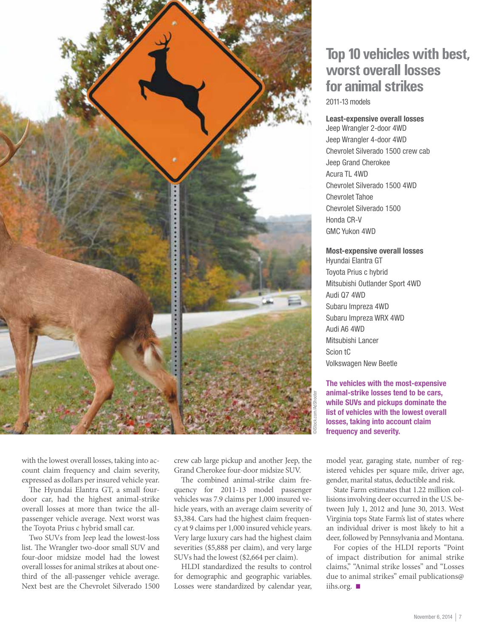

### **Top 10 vehicles with best, worst overall losses for animal strikes**

2011-13 models

#### Least-expensive overall losses

Jeep Wrangler 2-door 4WD Jeep Wrangler 4-door 4WD Chevrolet Silverado 1500 crew cab Jeep Grand Cherokee Acura TL 4WD Chevrolet Silverado 1500 4WD Chevrolet Tahoe Chevrolet Silverado 1500 Honda CR-V GMC Yukon 4WD

#### Most-expensive overall losses

Hyundai Elantra GT Toyota Prius c hybrid Mitsubishi Outlander Sport 4WD Audi Q7 4WD Subaru Impreza 4WD Subaru Impreza WRX 4WD Audi A6 4WD Mitsubishi Lancer Scion tC Volkswagen New Beetle

The vehicles with the most-expensive animal-strike losses tend to be cars, while SUVs and pickups dominate the list of vehicles with the lowest overall losses, taking into account claim frequency and severity.

with the lowest overall losses, taking into account claim frequency and claim severity, expressed as dollars per insured vehicle year.

The Hyundai Elantra GT, a small fourdoor car, had the highest animal-strike overall losses at more than twice the allpassenger vehicle average. Next worst was the Toyota Prius c hybrid small car.

Two SUVs from Jeep lead the lowest-loss list. The Wrangler two-door small SUV and four-door midsize model had the lowest overall losses for animal strikes at about onethird of the all-passenger vehicle average. Next best are the Chevrolet Silverado 1500

crew cab large pickup and another Jeep, the Grand Cherokee four-door midsize SUV.

The combined animal-strike claim frequency for 2011-13 model passenger vehicles was 7.9 claims per 1,000 insured vehicle years, with an average claim severity of \$3,384. Cars had the highest claim frequency at 9 claims per 1,000 insured vehicle years. Very large luxury cars had the highest claim severities (\$5,888 per claim), and very large SUVs had the lowest (\$2,664 per claim).

HLDI standardized the results to control for demographic and geographic variables. Losses were standardized by calendar year,

model year, garaging state, number of registered vehicles per square mile, driver age, gender, marital status, deductible and risk.

State Farm estimates that 1.22 million collisions involving deer occurred in the U.S. between July 1, 2012 and June 30, 2013. West Virginia tops State Farm's list of states where an individual driver is most likely to hit a deer, followed by Pennsylvania and Montana.

For copies of the HLDI reports "Point of impact distribution for animal strike claims," "Animal strike losses" and "Losses due to animal strikes" email publications@ iihs.org.  $\blacksquare$